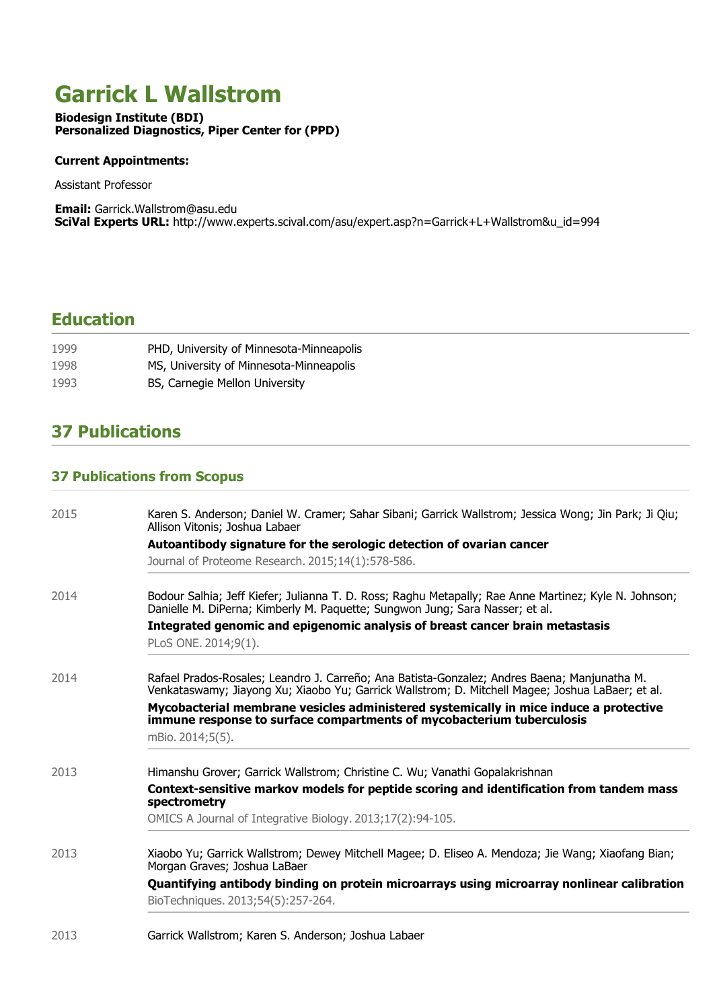# **Garrick L Wallstrom**

**Biodesign Institute (BDI) Personalized Diagnostics, Piper Center for (PPD)**

#### **Current Appointments:**

**Assistant Professor**

**Email: Garrick.Wallstrom@asu.edu SciVal Experts URL: http://www.experts.scival.com/asu/expert.asp?n=Garrick+L+Wallstrom&u\_id=994**

### **Education**

| 1999 | PHD, University of Minnesota-Minneapolis |
|------|------------------------------------------|
| 1998 | MS, University of Minnesota-Minneapolis  |
| 1993 | BS, Carnegie Mellon University           |

### **37 Publications**

#### **37 Publications from Scopus**

| 2015 | Karen S. Anderson; Daniel W. Cramer; Sahar Sibani; Garrick Wallstrom; Jessica Wong; Jin Park; Ji Qiu;<br>Allison Vitonis; Joshua Labaer                                                                                                                                                                                                                                                |
|------|----------------------------------------------------------------------------------------------------------------------------------------------------------------------------------------------------------------------------------------------------------------------------------------------------------------------------------------------------------------------------------------|
|      | Autoantibody signature for the serologic detection of ovarian cancer                                                                                                                                                                                                                                                                                                                   |
|      | Journal of Proteome Research. 2015;14(1):578-586.                                                                                                                                                                                                                                                                                                                                      |
| 2014 | Bodour Salhia; Jeff Kiefer; Julianna T. D. Ross; Raghu Metapally; Rae Anne Martinez; Kyle N. Johnson;<br>Danielle M. DiPerna; Kimberly M. Paquette; Sungwon Jung; Sara Nasser; et al.<br>Integrated genomic and epigenomic analysis of breast cancer brain metastasis                                                                                                                  |
|      | PLoS ONE. 2014;9(1).                                                                                                                                                                                                                                                                                                                                                                   |
| 2014 | Rafael Prados-Rosales; Leandro J. Carreño; Ana Batista-Gonzalez; Andres Baena; Manjunatha M.<br>Venkataswamy; Jiayong Xu; Xiaobo Yu; Garrick Wallstrom; D. Mitchell Magee; Joshua LaBaer; et al.<br>Mycobacterial membrane vesicles administered systemically in mice induce a protective<br>immune response to surface compartments of mycobacterium tuberculosis<br>mBio. 2014;5(5). |
|      |                                                                                                                                                                                                                                                                                                                                                                                        |
| 2013 | Himanshu Grover; Garrick Wallstrom; Christine C. Wu; Vanathi Gopalakrishnan<br>Context-sensitive markov models for peptide scoring and identification from tandem mass<br>spectrometry                                                                                                                                                                                                 |
|      | OMICS A Journal of Integrative Biology. 2013;17(2):94-105.                                                                                                                                                                                                                                                                                                                             |
| 2013 | Xiaobo Yu; Garrick Wallstrom; Dewey Mitchell Magee; D. Eliseo A. Mendoza; Jie Wang; Xiaofang Bian;<br>Morgan Graves; Joshua LaBaer                                                                                                                                                                                                                                                     |
|      | Quantifying antibody binding on protein microarrays using microarray nonlinear calibration<br>BioTechniques. 2013;54(5):257-264.                                                                                                                                                                                                                                                       |
| 2013 | Garrick Wallstrom; Karen S. Anderson; Joshua Labaer                                                                                                                                                                                                                                                                                                                                    |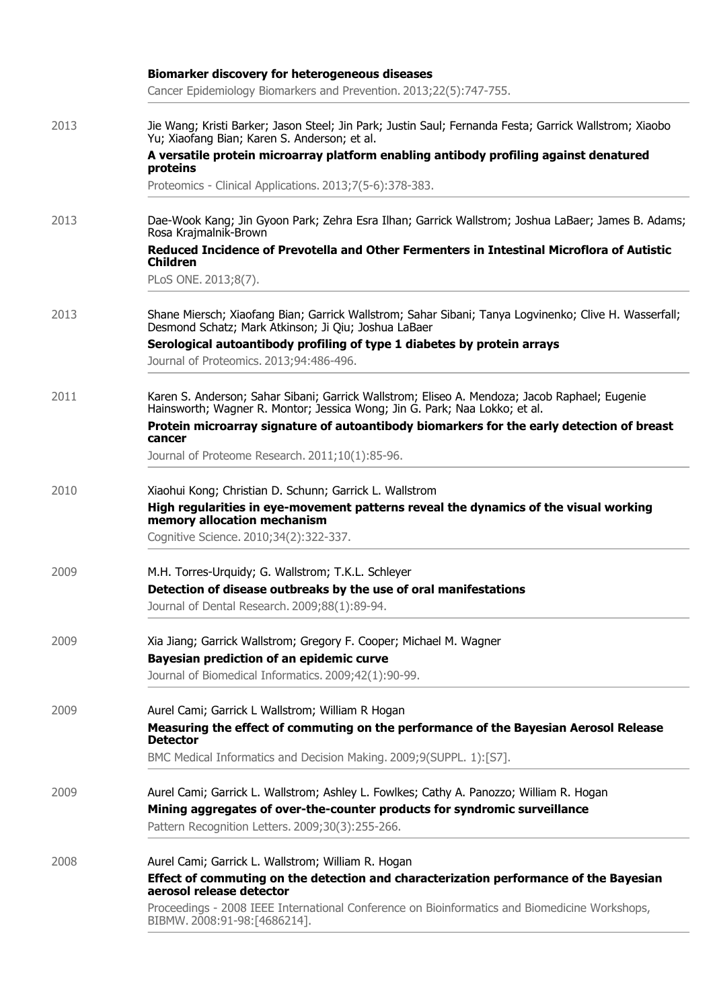|      | <b>Biomarker discovery for heterogeneous diseases</b><br>Cancer Epidemiology Biomarkers and Prevention. 2013;22(5):747-755.                                                                                              |
|------|--------------------------------------------------------------------------------------------------------------------------------------------------------------------------------------------------------------------------|
| 2013 | Jie Wang; Kristi Barker; Jason Steel; Jin Park; Justin Saul; Fernanda Festa; Garrick Wallstrom; Xiaobo<br>Yu; Xiaofang Bian; Karen S. Anderson; et al.                                                                   |
|      | A versatile protein microarray platform enabling antibody profiling against denatured<br>proteins                                                                                                                        |
|      | Proteomics - Clinical Applications. 2013;7(5-6):378-383.                                                                                                                                                                 |
| 2013 | Dae-Wook Kang; Jin Gyoon Park; Zehra Esra Ilhan; Garrick Wallstrom; Joshua LaBaer; James B. Adams;<br>Rosa Krajmalnik-Brown                                                                                              |
|      | Reduced Incidence of Prevotella and Other Fermenters in Intestinal Microflora of Autistic<br><b>Children</b>                                                                                                             |
|      | PLoS ONE. 2013;8(7).                                                                                                                                                                                                     |
| 2013 | Shane Miersch; Xiaofang Bian; Garrick Wallstrom; Sahar Sibani; Tanya Logvinenko; Clive H. Wasserfall;<br>Desmond Schatz; Mark Atkinson; Ji Qiu; Joshua LaBaer                                                            |
|      | Serological autoantibody profiling of type 1 diabetes by protein arrays<br>Journal of Proteomics. 2013;94:486-496.                                                                                                       |
| 2011 | Karen S. Anderson; Sahar Sibani; Garrick Wallstrom; Eliseo A. Mendoza; Jacob Raphael; Eugenie<br>Hainsworth; Wagner R. Montor; Jessica Wong; Jin G. Park; Naa Lokko; et al.                                              |
|      | Protein microarray signature of autoantibody biomarkers for the early detection of breast<br>cancer                                                                                                                      |
|      | Journal of Proteome Research. 2011;10(1):85-96.                                                                                                                                                                          |
| 2010 | Xiaohui Kong; Christian D. Schunn; Garrick L. Wallstrom<br>High regularities in eye-movement patterns reveal the dynamics of the visual working<br>memory allocation mechanism<br>Cognitive Science. 2010;34(2):322-337. |
| 2009 | M.H. Torres-Urquidy; G. Wallstrom; T.K.L. Schleyer                                                                                                                                                                       |
|      | Detection of disease outbreaks by the use of oral manifestations                                                                                                                                                         |
|      | Journal of Dental Research. 2009;88(1):89-94.                                                                                                                                                                            |
| 2009 | Xia Jiang; Garrick Wallstrom; Gregory F. Cooper; Michael M. Wagner                                                                                                                                                       |
|      | Bayesian prediction of an epidemic curve<br>Journal of Biomedical Informatics. 2009;42(1):90-99.                                                                                                                         |
| 2009 | Aurel Cami; Garrick L Wallstrom; William R Hogan                                                                                                                                                                         |
|      | Measuring the effect of commuting on the performance of the Bayesian Aerosol Release<br><b>Detector</b>                                                                                                                  |
|      | BMC Medical Informatics and Decision Making. 2009;9(SUPPL. 1):[S7].                                                                                                                                                      |
| 2009 | Aurel Cami; Garrick L. Wallstrom; Ashley L. Fowlkes; Cathy A. Panozzo; William R. Hogan<br>Mining aggregates of over-the-counter products for syndromic surveillance                                                     |
|      | Pattern Recognition Letters. 2009;30(3):255-266.                                                                                                                                                                         |
| 2008 | Aurel Cami; Garrick L. Wallstrom; William R. Hogan                                                                                                                                                                       |
|      | Effect of commuting on the detection and characterization performance of the Bayesian<br>aerosol release detector                                                                                                        |
|      | Proceedings - 2008 IEEE International Conference on Bioinformatics and Biomedicine Workshops,<br>BIBMW. 2008:91-98:[4686214].                                                                                            |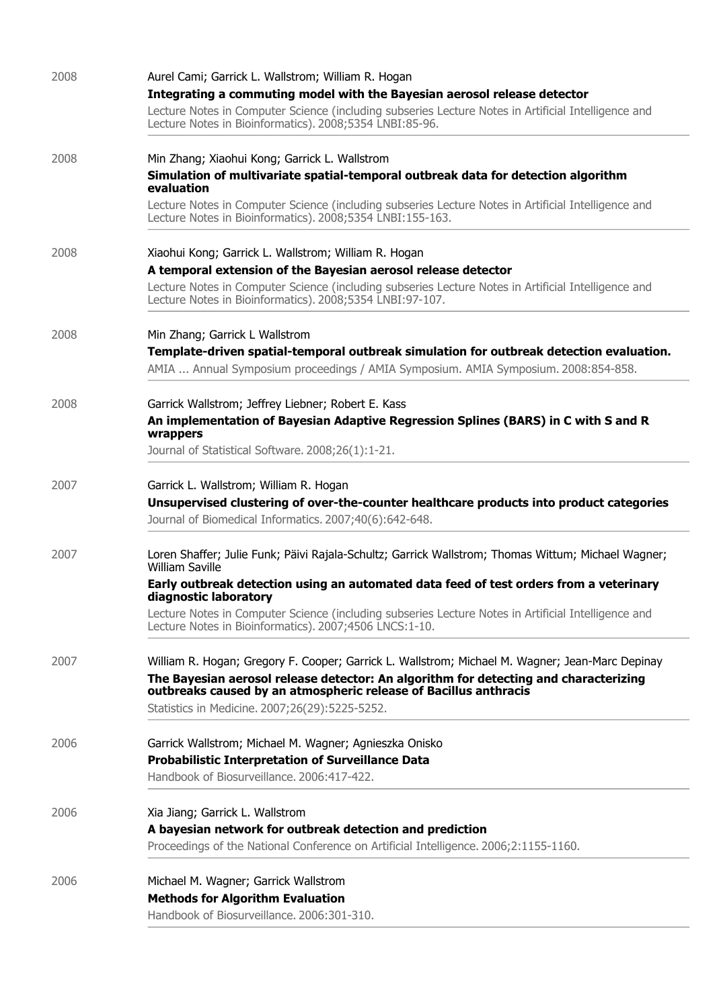| 2008 | Aurel Cami; Garrick L. Wallstrom; William R. Hogan                                                                                                               |  |  |
|------|------------------------------------------------------------------------------------------------------------------------------------------------------------------|--|--|
|      | Integrating a commuting model with the Bayesian aerosol release detector                                                                                         |  |  |
|      | Lecture Notes in Computer Science (including subseries Lecture Notes in Artificial Intelligence and<br>Lecture Notes in Bioinformatics). 2008;5354 LNBI:85-96.   |  |  |
| 2008 | Min Zhang; Xiaohui Kong; Garrick L. Wallstrom                                                                                                                    |  |  |
|      | Simulation of multivariate spatial-temporal outbreak data for detection algorithm<br>evaluation                                                                  |  |  |
|      | Lecture Notes in Computer Science (including subseries Lecture Notes in Artificial Intelligence and<br>Lecture Notes in Bioinformatics). 2008;5354 LNBI:155-163. |  |  |
| 2008 | Xiaohui Kong; Garrick L. Wallstrom; William R. Hogan                                                                                                             |  |  |
|      | A temporal extension of the Bayesian aerosol release detector                                                                                                    |  |  |
|      | Lecture Notes in Computer Science (including subseries Lecture Notes in Artificial Intelligence and<br>Lecture Notes in Bioinformatics). 2008;5354 LNBI:97-107.  |  |  |
| 2008 | Min Zhang; Garrick L Wallstrom                                                                                                                                   |  |  |
|      | Template-driven spatial-temporal outbreak simulation for outbreak detection evaluation.                                                                          |  |  |
|      | AMIA  Annual Symposium proceedings / AMIA Symposium. AMIA Symposium. 2008:854-858.                                                                               |  |  |
| 2008 | Garrick Wallstrom; Jeffrey Liebner; Robert E. Kass                                                                                                               |  |  |
|      | An implementation of Bayesian Adaptive Regression Splines (BARS) in C with S and R<br>wrappers                                                                   |  |  |
|      | Journal of Statistical Software. 2008;26(1):1-21.                                                                                                                |  |  |
| 2007 | Garrick L. Wallstrom; William R. Hogan                                                                                                                           |  |  |
|      | Unsupervised clustering of over-the-counter healthcare products into product categories                                                                          |  |  |
|      | Journal of Biomedical Informatics. 2007;40(6):642-648.                                                                                                           |  |  |
| 2007 | Loren Shaffer; Julie Funk; Päivi Rajala-Schultz; Garrick Wallstrom; Thomas Wittum; Michael Wagner;<br><b>William Saville</b>                                     |  |  |
|      | Early outbreak detection using an automated data feed of test orders from a veterinary<br>diagnostic laboratory                                                  |  |  |
|      | Lecture Notes in Computer Science (including subseries Lecture Notes in Artificial Intelligence and<br>Lecture Notes in Bioinformatics). 2007;4506 LNCS:1-10.    |  |  |
| 2007 | William R. Hogan; Gregory F. Cooper; Garrick L. Wallstrom; Michael M. Wagner; Jean-Marc Depinay                                                                  |  |  |
|      | The Bayesian aerosol release detector: An algorithm for detecting and characterizing<br>outbreaks caused by an atmospheric release of Bacillus anthracis         |  |  |
|      | Statistics in Medicine. 2007;26(29):5225-5252.                                                                                                                   |  |  |
| 2006 | Garrick Wallstrom; Michael M. Wagner; Agnieszka Onisko                                                                                                           |  |  |
|      | <b>Probabilistic Interpretation of Surveillance Data</b><br>Handbook of Biosurveillance, 2006:417-422.                                                           |  |  |
|      |                                                                                                                                                                  |  |  |
| 2006 | Xia Jiang; Garrick L. Wallstrom                                                                                                                                  |  |  |
|      | A bayesian network for outbreak detection and prediction<br>Proceedings of the National Conference on Artificial Intelligence. 2006;2:1155-1160.                 |  |  |
|      |                                                                                                                                                                  |  |  |
| 2006 | Michael M. Wagner; Garrick Wallstrom                                                                                                                             |  |  |
|      | <b>Methods for Algorithm Evaluation</b><br>Handbook of Biosurveillance, 2006:301-310.                                                                            |  |  |
|      |                                                                                                                                                                  |  |  |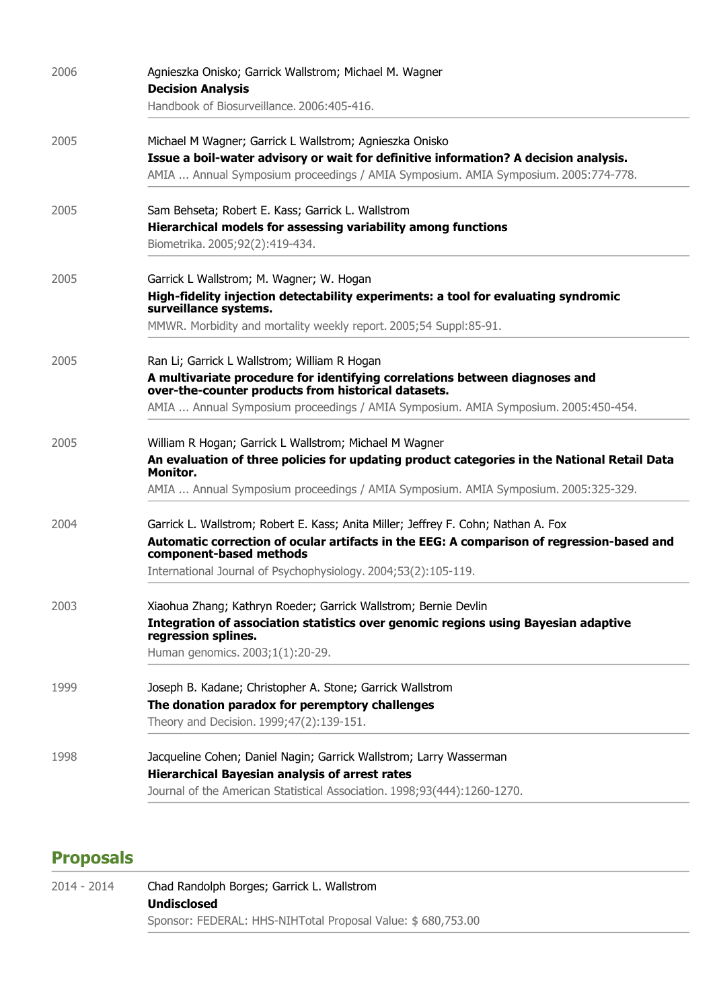| 2006 | Agnieszka Onisko; Garrick Wallstrom; Michael M. Wagner                                                                             |
|------|------------------------------------------------------------------------------------------------------------------------------------|
|      | <b>Decision Analysis</b>                                                                                                           |
|      | Handbook of Biosurveillance. 2006:405-416.                                                                                         |
| 2005 | Michael M Wagner; Garrick L Wallstrom; Agnieszka Onisko                                                                            |
|      | Issue a boil-water advisory or wait for definitive information? A decision analysis.                                               |
|      | AMIA  Annual Symposium proceedings / AMIA Symposium. AMIA Symposium. 2005:774-778.                                                 |
| 2005 | Sam Behseta; Robert E. Kass; Garrick L. Wallstrom                                                                                  |
|      | Hierarchical models for assessing variability among functions                                                                      |
|      | Biometrika. 2005;92(2):419-434.                                                                                                    |
| 2005 | Garrick L Wallstrom; M. Wagner; W. Hogan                                                                                           |
|      | High-fidelity injection detectability experiments: a tool for evaluating syndromic<br>surveillance systems.                        |
|      | MMWR. Morbidity and mortality weekly report. 2005;54 Suppl:85-91.                                                                  |
| 2005 | Ran Li; Garrick L Wallstrom; William R Hogan                                                                                       |
|      | A multivariate procedure for identifying correlations between diagnoses and<br>over-the-counter products from historical datasets. |
|      | AMIA  Annual Symposium proceedings / AMIA Symposium. AMIA Symposium. 2005:450-454.                                                 |
| 2005 | William R Hogan; Garrick L Wallstrom; Michael M Wagner                                                                             |
|      | An evaluation of three policies for updating product categories in the National Retail Data<br>Monitor.                            |
|      | AMIA  Annual Symposium proceedings / AMIA Symposium. AMIA Symposium. 2005:325-329.                                                 |
| 2004 | Garrick L. Wallstrom; Robert E. Kass; Anita Miller; Jeffrey F. Cohn; Nathan A. Fox                                                 |
|      | Automatic correction of ocular artifacts in the EEG: A comparison of regression-based and<br>component-based methods               |
|      | International Journal of Psychophysiology. 2004;53(2):105-119.                                                                     |
| 2003 | Xiaohua Zhang; Kathryn Roeder; Garrick Wallstrom; Bernie Devlin                                                                    |
|      | Integration of association statistics over genomic regions using Bayesian adaptive<br>regression splines.                          |
|      | Human genomics. 2003;1(1):20-29.                                                                                                   |
| 1999 | Joseph B. Kadane; Christopher A. Stone; Garrick Wallstrom                                                                          |
|      | The donation paradox for peremptory challenges                                                                                     |
|      | Theory and Decision. 1999;47(2):139-151.                                                                                           |
| 1998 | Jacqueline Cohen; Daniel Nagin; Garrick Wallstrom; Larry Wasserman                                                                 |
|      | <b>Hierarchical Bayesian analysis of arrest rates</b>                                                                              |
|      | Journal of the American Statistical Association. 1998;93(444):1260-1270.                                                           |

## **Proposals**

| 2014 - 2014 | Chad Randolph Borges; Garrick L. Wallstrom                  |
|-------------|-------------------------------------------------------------|
|             | <b>Undisclosed</b>                                          |
|             | Sponsor: FEDERAL: HHS-NIHTotal Proposal Value: \$680,753.00 |